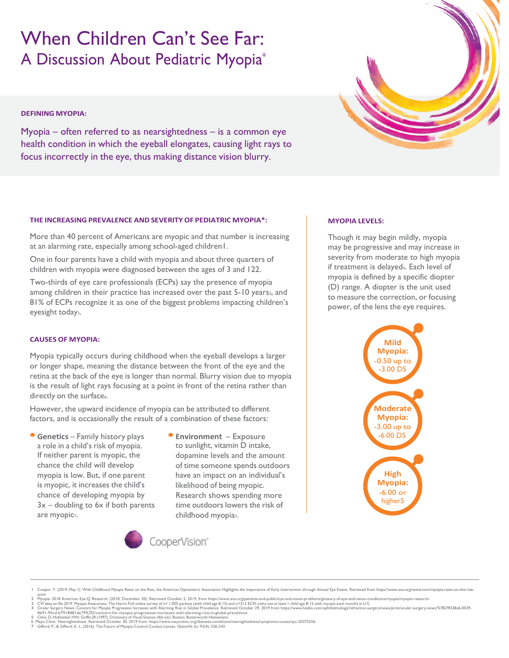# When Children Can't See Far: A Discussion About Pediatric Myopia\*

## **DEFINING MYOPIA:**

Myopia – often referred to as nearsightedness – is a common eye health condition in which the eyeball elongates, causing light rays to focus incorrectly in the eye, thus making distance vision blurry.



### **THE INCREASING PREVALENCE AND SEVERITY OF PEDIATRIC MYOPIA\*:**

More than 40 percent of Americans are myopic and that number is increasing at an alarming rate, especially among school-aged children1.

One in four parents have a child with myopia and about three quarters of children with myopia were diagnosed between the ages of 3 and 122.

Two-thirds of eye care professionals (ECPs) say the presence of myopia among children in their practice has increased over the past 5-10 years3, and 81% of ECPs recognize it as one of the biggest problems impacting children's eyesight today<sub>3</sub>.

### **CAUSES OF MYOPIA:**

Myopia typically occurs during childhood when the eyeball develops a larger or longer shape, meaning the distance between the front of the eye and the retina at the back of the eye is longer than normal. Blurry vision due to myopia is the result of light rays focusing at a point in front of the retina rather than directly on the surface..

However, the upward incidence of myopia can be attributed to different factors, and is occasionally the result of a combination of these factors:

- **• Genetics** Family history plays a role in a child's risk of myopia. If neither parent is myopic, the chance the child will develop myopia is low. But, if one parent is myopic, it increases the child's chance of developing myopia by  $3x$  – doubling to 6x if both parents are myopicz.
- **• Environment** Exposure to sunlight, vitamin D intake, dopamine levels and the amount of time someone spends outdoors have an impact on an individual's likelihood of being myopic. Research shows spending more time outdoors lowers the risk of childhood myopiaz.



### **MYOPIA LEVELS:**

Though it may begin mildly, myopia may be progressive and may increase in severity from moderate to high myopia if treatment is delayed4. Each level of myopia is defined by a specific diopter (D) range. A diopter is the unit used to measure the correction, or focusing power, of the lens the eye requires.



Cooper, Y. (2019, May I). With Childhood Myopia Rates on the Rise, the American Optometric Association Highlights the Importance of Early Intervention through Annual Eye Exams. Retrieved from https://www.aoa.org

syvm<br>2 Myopia: 2018 American Eye-Q Research. (2018, December 20). Retrieved October 2, 2019, from https://www.aoa.org/patients-and-public/eye-and-vision-problems/glossary-of-eye-and-vision-conditions/myopia/myopia-research

<sup>4</sup>b91-95cd-b7918481de79%7D/concern-for-myopia-progression-increases-with-alarming-rise-in-global-prevalence<br>5 Cline, D; Hofstetter HW; GriffinJR (1997). Dictionary of Visual Science (4th ed.). Boston: Butterworth-Heinemann.